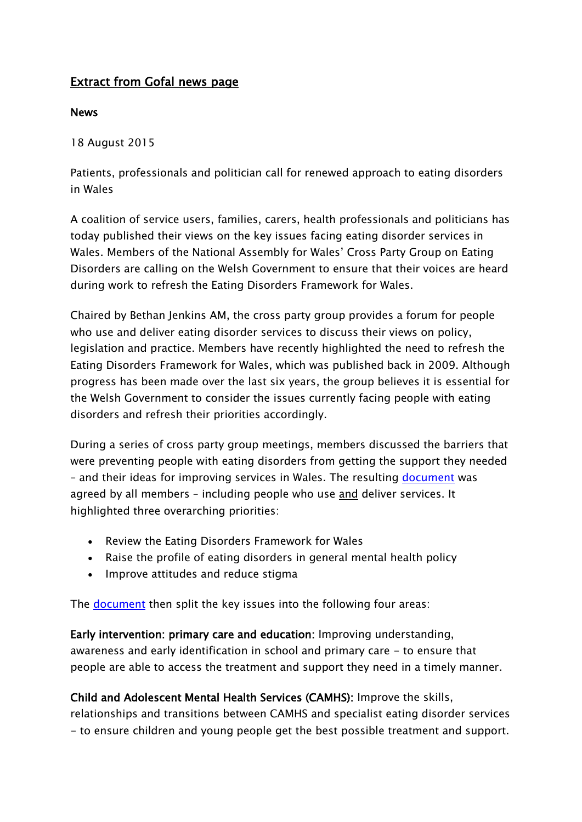# Extract from Gofal news page

#### News

18 August 2015

Patients, professionals and politician call for renewed approach to eating disorders in Wales

A coalition of service users, families, carers, health professionals and politicians has today published their views on the key issues facing eating disorder services in Wales. Members of the National Assembly for Wales" Cross Party Group on Eating Disorders are calling on the Welsh Government to ensure that their voices are heard during work to refresh the Eating Disorders Framework for Wales.

Chaired by Bethan Jenkins AM, the cross party group provides a forum for people who use and deliver eating disorder services to discuss their views on policy, legislation and practice. Members have recently highlighted the need to refresh the Eating Disorders Framework for Wales, which was published back in 2009. Although progress has been made over the last six years, the group believes it is essential for the Welsh Government to consider the issues currently facing people with eating disorders and refresh their priorities accordingly.

During a series of cross party group meetings, members discussed the barriers that were preventing people with eating disorders from getting the support they needed – and their ideas for improving services in Wales. The resulting [document](https://www.dropbox.com/s/fce2frrun69qd1q/CPGED%20Key%20issues%20and%20priorities%20-%20FINAL%20VERSION.pdf?dl=0) was agreed by all members - including people who use and deliver services. It highlighted three overarching priorities:

- Review the Eating Disorders Framework for Wales
- Raise the profile of eating disorders in general mental health policy
- Improve attitudes and reduce stigma

The [document](https://www.dropbox.com/s/fce2frrun69qd1q/CPGED%20Key%20issues%20and%20priorities%20-%20FINAL%20VERSION.pdf?dl=0) then split the key issues into the following four areas:

Early intervention: primary care and education: Improving understanding, awareness and early identification in school and primary care - to ensure that people are able to access the treatment and support they need in a timely manner.

Child and Adolescent Mental Health Services (CAMHS): Improve the skills,

relationships and transitions between CAMHS and specialist eating disorder services - to ensure children and young people get the best possible treatment and support.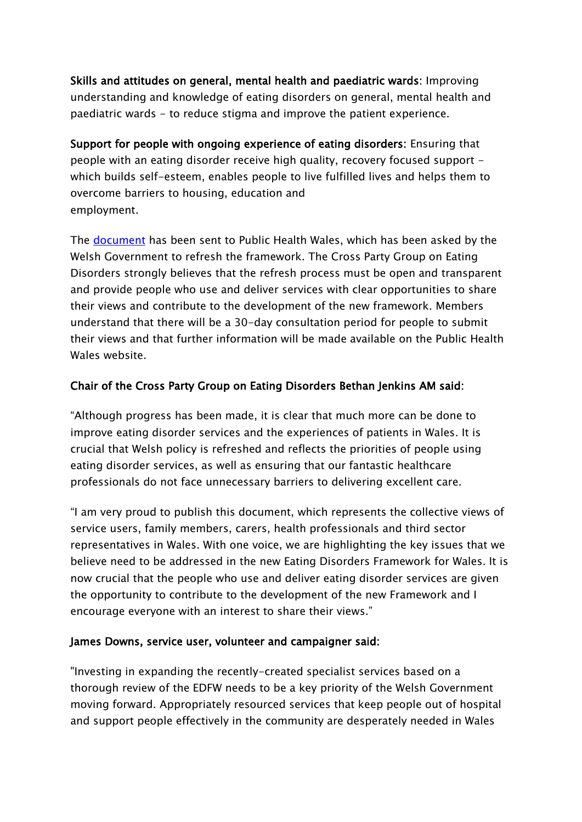Skills and attitudes on general, mental health and paediatric wards: Improving understanding and knowledge of eating disorders on general, mental health and paediatric wards - to reduce stigma and improve the patient experience.

Support for people with ongoing experience of eating disorders: Ensuring that people with an eating disorder receive high quality, recovery focused support which builds self-esteem, enables people to live fulfilled lives and helps them to overcome barriers to housing, education and employment.

The **document** has been sent to Public Health Wales, which has been asked by the Welsh Government to refresh the framework. The Cross Party Group on Eating Disorders strongly believes that the refresh process must be open and transparent and provide people who use and deliver services with clear opportunities to share their views and contribute to the development of the new framework. Members understand that there will be a 30-day consultation period for people to submit their views and that further information will be made available on the Public Health Wales website.

### Chair of the Cross Party Group on Eating Disorders Bethan Jenkins AM said:

"Although progress has been made, it is clear that much more can be done to improve eating disorder services and the experiences of patients in Wales. It is crucial that Welsh policy is refreshed and reflects the priorities of people using eating disorder services, as well as ensuring that our fantastic healthcare professionals do not face unnecessary barriers to delivering excellent care.

"I am very proud to publish this document, which represents the collective views of service users, family members, carers, health professionals and third sector representatives in Wales. With one voice, we are highlighting the key issues that we believe need to be addressed in the new Eating Disorders Framework for Wales. It is now crucial that the people who use and deliver eating disorder services are given the opportunity to contribute to the development of the new Framework and I encourage everyone with an interest to share their views."

### James Downs, service user, volunteer and campaigner said:

"Investing in expanding the recently-created specialist services based on a thorough review of the EDFW needs to be a key priority of the Welsh Government moving forward. Appropriately resourced services that keep people out of hospital and support people effectively in the community are desperately needed in Wales